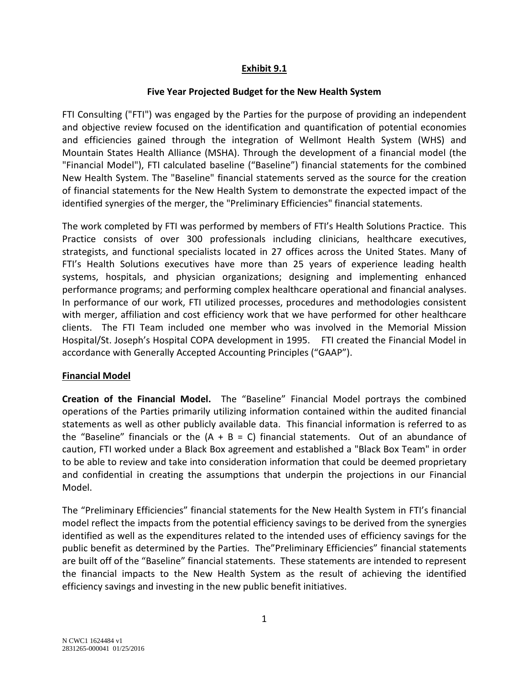#### **Exhibit 9.1**

#### **Five Year Projected Budget for the New Health System**

FTI Consulting ("FTI") was engaged by the Parties for the purpose of providing an independent and objective review focused on the identification and quantification of potential economies and efficiencies gained through the integration of Wellmont Health System (WHS) and Mountain States Health Alliance (MSHA). Through the development of a financial model (the "Financial Model"), FTI calculated baseline ("Baseline") financial statements for the combined New Health System. The "Baseline" financial statements served as the source for the creation of financial statements for the New Health System to demonstrate the expected impact of the identified synergies of the merger, the "Preliminary Efficiencies" financial statements.

The work completed by FTI was performed by members of FTI's Health Solutions Practice. This Practice consists of over 300 professionals including clinicians, healthcare executives, strategists, and functional specialists located in 27 offices across the United States. Many of FTI's Health Solutions executives have more than 25 years of experience leading health systems, hospitals, and physician organizations; designing and implementing enhanced performance programs; and performing complex healthcare operational and financial analyses. In performance of our work, FTI utilized processes, procedures and methodologies consistent with merger, affiliation and cost efficiency work that we have performed for other healthcare clients. The FTI Team included one member who was involved in the Memorial Mission Hospital/St. Joseph's Hospital COPA development in 1995. FTI created the Financial Model in accordance with Generally Accepted Accounting Principles ("GAAP").

#### **Financial Model**

**Creation of the Financial Model.** The "Baseline" Financial Model portrays the combined operations of the Parties primarily utilizing information contained within the audited financial statements as well as other publicly available data. This financial information is referred to as the "Baseline" financials or the  $(A + B = C)$  financial statements. Out of an abundance of caution, FTI worked under a Black Box agreement and established a "Black Box Team" in order to be able to review and take into consideration information that could be deemed proprietary and confidential in creating the assumptions that underpin the projections in our Financial Model.

The "Preliminary Efficiencies" financial statements for the New Health System in FTI's financial model reflect the impacts from the potential efficiency savings to be derived from the synergies identified as well as the expenditures related to the intended uses of efficiency savings for the public benefit as determined by the Parties. The"Preliminary Efficiencies" financial statements are built off of the "Baseline" financial statements. These statements are intended to represent the financial impacts to the New Health System as the result of achieving the identified efficiency savings and investing in the new public benefit initiatives.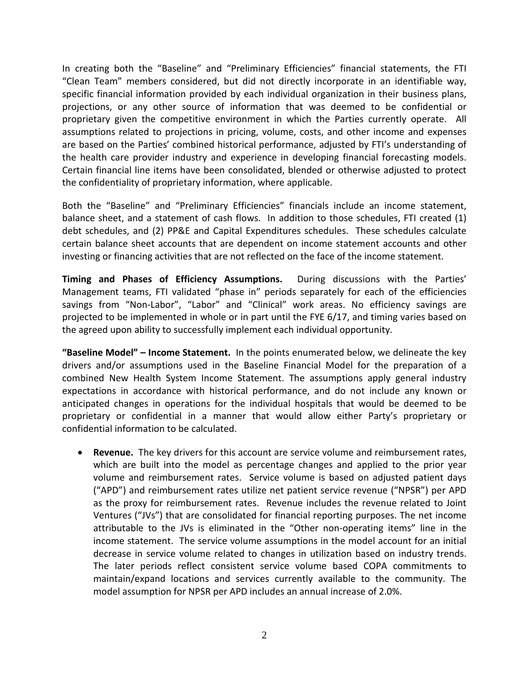In creating both the "Baseline" and "Preliminary Efficiencies" financial statements, the FTI "Clean Team" members considered, but did not directly incorporate in an identifiable way, specific financial information provided by each individual organization in their business plans, projections, or any other source of information that was deemed to be confidential or proprietary given the competitive environment in which the Parties currently operate. All assumptions related to projections in pricing, volume, costs, and other income and expenses are based on the Parties' combined historical performance, adjusted by FTI's understanding of the health care provider industry and experience in developing financial forecasting models. Certain financial line items have been consolidated, blended or otherwise adjusted to protect the confidentiality of proprietary information, where applicable.

Both the "Baseline" and "Preliminary Efficiencies" financials include an income statement, balance sheet, and a statement of cash flows. In addition to those schedules, FTI created (1) debt schedules, and (2) PP&E and Capital Expenditures schedules. These schedules calculate certain balance sheet accounts that are dependent on income statement accounts and other investing or financing activities that are not reflected on the face of the income statement.

**Timing and Phases of Efficiency Assumptions.** During discussions with the Parties' Management teams, FTI validated "phase in" periods separately for each of the efficiencies savings from "Non-Labor", "Labor" and "Clinical" work areas. No efficiency savings are projected to be implemented in whole or in part until the FYE 6/17, and timing varies based on the agreed upon ability to successfully implement each individual opportunity.

**"Baseline Model" – Income Statement.** In the points enumerated below, we delineate the key drivers and/or assumptions used in the Baseline Financial Model for the preparation of a combined New Health System Income Statement. The assumptions apply general industry expectations in accordance with historical performance, and do not include any known or anticipated changes in operations for the individual hospitals that would be deemed to be proprietary or confidential in a manner that would allow either Party's proprietary or confidential information to be calculated.

• **Revenue.** The key drivers for this account are service volume and reimbursement rates, which are built into the model as percentage changes and applied to the prior year volume and reimbursement rates. Service volume is based on adjusted patient days ("APD") and reimbursement rates utilize net patient service revenue ("NPSR") per APD as the proxy for reimbursement rates. Revenue includes the revenue related to Joint Ventures ("JVs") that are consolidated for financial reporting purposes. The net income attributable to the JVs is eliminated in the "Other non-operating items" line in the income statement. The service volume assumptions in the model account for an initial decrease in service volume related to changes in utilization based on industry trends. The later periods reflect consistent service volume based COPA commitments to maintain/expand locations and services currently available to the community. The model assumption for NPSR per APD includes an annual increase of 2.0%.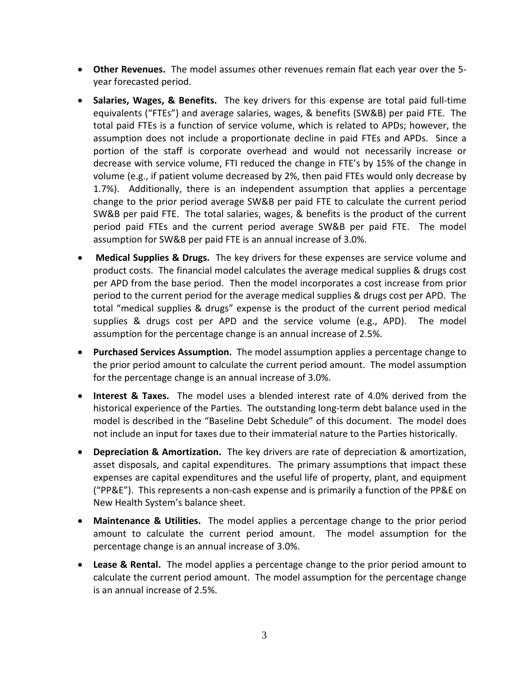- **Other Revenues.** The model assumes other revenues remain flat each year over the 5 year forecasted period.
- **Salaries, Wages, & Benefits.** The key drivers for this expense are total paid full-time equivalents ("FTEs") and average salaries, wages, & benefits (SW&B) per paid FTE. The total paid FTEs is a function of service volume, which is related to APDs; however, the assumption does not include a proportionate decline in paid FTEs and APDs. Since a portion of the staff is corporate overhead and would not necessarily increase or decrease with service volume, FTI reduced the change in FTE's by 15% of the change in volume (e.g., if patient volume decreased by 2%, then paid FTEs would only decrease by 1.7%). Additionally, there is an independent assumption that applies a percentage change to the prior period average SW&B per paid FTE to calculate the current period SW&B per paid FTE. The total salaries, wages, & benefits is the product of the current period paid FTEs and the current period average SW&B per paid FTE. The model assumption for SW&B per paid FTE is an annual increase of 3.0%.
- **Medical Supplies & Drugs.** The key drivers for these expenses are service volume and product costs. The financial model calculates the average medical supplies & drugs cost per APD from the base period. Then the model incorporates a cost increase from prior period to the current period for the average medical supplies & drugs cost per APD. The total "medical supplies & drugs" expense is the product of the current period medical supplies & drugs cost per APD and the service volume (e.g., APD). The model assumption for the percentage change is an annual increase of 2.5%.
- **Purchased Services Assumption.** The model assumption applies a percentage change to the prior period amount to calculate the current period amount. The model assumption for the percentage change is an annual increase of 3.0%.
- **Interest & Taxes.** The model uses a blended interest rate of 4.0% derived from the historical experience of the Parties. The outstanding long-term debt balance used in the model is described in the "Baseline Debt Schedule" of this document. The model does not include an input for taxes due to their immaterial nature to the Parties historically.
- **Depreciation & Amortization.** The key drivers are rate of depreciation & amortization, asset disposals, and capital expenditures. The primary assumptions that impact these expenses are capital expenditures and the useful life of property, plant, and equipment ("PP&E"). This represents a non-cash expense and is primarily a function of the PP&E on New Health System's balance sheet.
- **Maintenance & Utilities.** The model applies a percentage change to the prior period amount to calculate the current period amount. The model assumption for the percentage change is an annual increase of 3.0%.
- **Lease & Rental.** The model applies a percentage change to the prior period amount to calculate the current period amount. The model assumption for the percentage change is an annual increase of 2.5%.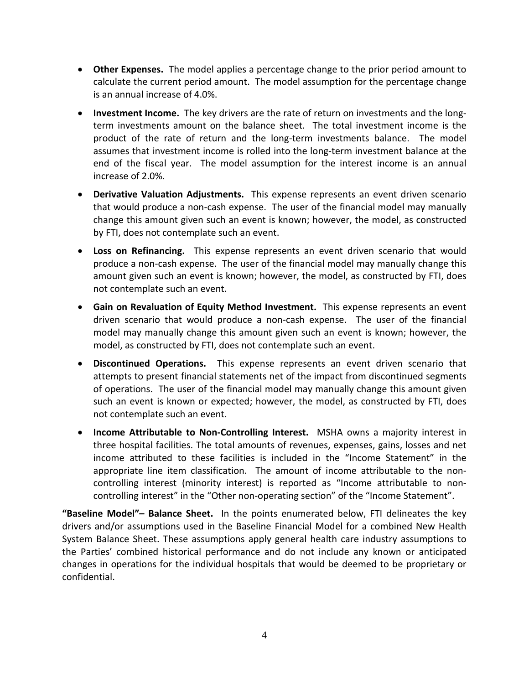- **Other Expenses.** The model applies a percentage change to the prior period amount to calculate the current period amount. The model assumption for the percentage change is an annual increase of 4.0%.
- **Investment Income.** The key drivers are the rate of return on investments and the longterm investments amount on the balance sheet. The total investment income is the product of the rate of return and the long-term investments balance. The model assumes that investment income is rolled into the long-term investment balance at the end of the fiscal year. The model assumption for the interest income is an annual increase of 2.0%.
- **Derivative Valuation Adjustments.** This expense represents an event driven scenario that would produce a non-cash expense. The user of the financial model may manually change this amount given such an event is known; however, the model, as constructed by FTI, does not contemplate such an event.
- **Loss on Refinancing.** This expense represents an event driven scenario that would produce a non-cash expense. The user of the financial model may manually change this amount given such an event is known; however, the model, as constructed by FTI, does not contemplate such an event.
- **Gain on Revaluation of Equity Method Investment.** This expense represents an event driven scenario that would produce a non-cash expense. The user of the financial model may manually change this amount given such an event is known; however, the model, as constructed by FTI, does not contemplate such an event.
- **Discontinued Operations.** This expense represents an event driven scenario that attempts to present financial statements net of the impact from discontinued segments of operations. The user of the financial model may manually change this amount given such an event is known or expected; however, the model, as constructed by FTI, does not contemplate such an event.
- **Income Attributable to Non-Controlling Interest.** MSHA owns a majority interest in three hospital facilities. The total amounts of revenues, expenses, gains, losses and net income attributed to these facilities is included in the "Income Statement" in the appropriate line item classification. The amount of income attributable to the noncontrolling interest (minority interest) is reported as "Income attributable to noncontrolling interest" in the "Other non-operating section" of the "Income Statement".

**"Baseline Model"– Balance Sheet.** In the points enumerated below, FTI delineates the key drivers and/or assumptions used in the Baseline Financial Model for a combined New Health System Balance Sheet. These assumptions apply general health care industry assumptions to the Parties' combined historical performance and do not include any known or anticipated changes in operations for the individual hospitals that would be deemed to be proprietary or confidential.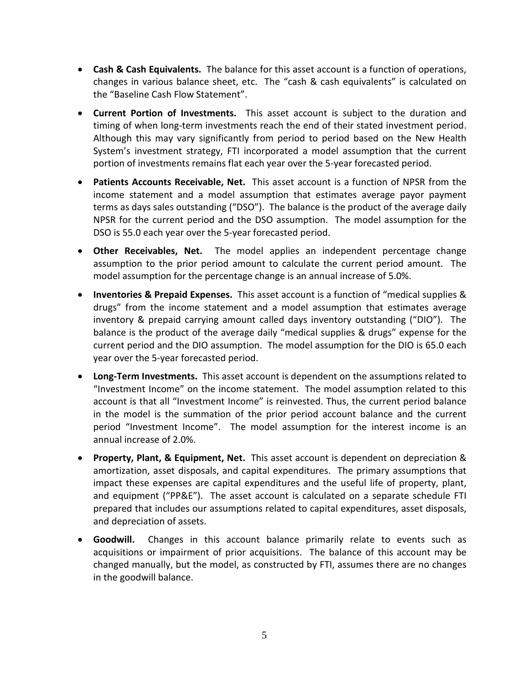- **Cash & Cash Equivalents.** The balance for this asset account is a function of operations, changes in various balance sheet, etc. The "cash & cash equivalents" is calculated on the "Baseline Cash Flow Statement".
- **Current Portion of Investments.** This asset account is subject to the duration and timing of when long-term investments reach the end of their stated investment period. Although this may vary significantly from period to period based on the New Health System's investment strategy, FTI incorporated a model assumption that the current portion of investments remains flat each year over the 5-year forecasted period.
- **Patients Accounts Receivable, Net.** This asset account is a function of NPSR from the income statement and a model assumption that estimates average payor payment terms as days sales outstanding ("DSO"). The balance is the product of the average daily NPSR for the current period and the DSO assumption. The model assumption for the DSO is 55.0 each year over the 5-year forecasted period.
- **Other Receivables, Net.** The model applies an independent percentage change assumption to the prior period amount to calculate the current period amount. The model assumption for the percentage change is an annual increase of 5.0%.
- **Inventories & Prepaid Expenses.** This asset account is a function of "medical supplies & drugs" from the income statement and a model assumption that estimates average inventory & prepaid carrying amount called days inventory outstanding ("DIO"). The balance is the product of the average daily "medical supplies & drugs" expense for the current period and the DIO assumption. The model assumption for the DIO is 65.0 each year over the 5-year forecasted period.
- **Long-Term Investments.** This asset account is dependent on the assumptions related to "Investment Income" on the income statement. The model assumption related to this account is that all "Investment Income" is reinvested. Thus, the current period balance in the model is the summation of the prior period account balance and the current period "Investment Income". The model assumption for the interest income is an annual increase of 2.0%.
- **Property, Plant, & Equipment, Net.** This asset account is dependent on depreciation & amortization, asset disposals, and capital expenditures. The primary assumptions that impact these expenses are capital expenditures and the useful life of property, plant, and equipment ("PP&E"). The asset account is calculated on a separate schedule FTI prepared that includes our assumptions related to capital expenditures, asset disposals, and depreciation of assets.
- **Goodwill.** Changes in this account balance primarily relate to events such as acquisitions or impairment of prior acquisitions. The balance of this account may be changed manually, but the model, as constructed by FTI, assumes there are no changes in the goodwill balance.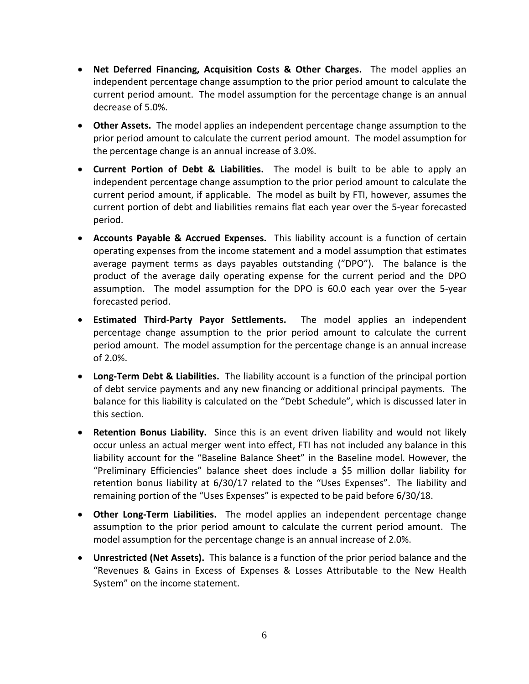- **Net Deferred Financing, Acquisition Costs & Other Charges.** The model applies an independent percentage change assumption to the prior period amount to calculate the current period amount. The model assumption for the percentage change is an annual decrease of 5.0%.
- **Other Assets.** The model applies an independent percentage change assumption to the prior period amount to calculate the current period amount. The model assumption for the percentage change is an annual increase of 3.0%.
- **Current Portion of Debt & Liabilities.** The model is built to be able to apply an independent percentage change assumption to the prior period amount to calculate the current period amount, if applicable. The model as built by FTI, however, assumes the current portion of debt and liabilities remains flat each year over the 5-year forecasted period.
- **Accounts Payable & Accrued Expenses.** This liability account is a function of certain operating expenses from the income statement and a model assumption that estimates average payment terms as days payables outstanding ("DPO"). The balance is the product of the average daily operating expense for the current period and the DPO assumption. The model assumption for the DPO is 60.0 each year over the 5-year forecasted period.
- **Estimated Third-Party Payor Settlements.** The model applies an independent percentage change assumption to the prior period amount to calculate the current period amount. The model assumption for the percentage change is an annual increase of 2.0%.
- **Long-Term Debt & Liabilities.** The liability account is a function of the principal portion of debt service payments and any new financing or additional principal payments. The balance for this liability is calculated on the "Debt Schedule", which is discussed later in this section.
- **Retention Bonus Liability.** Since this is an event driven liability and would not likely occur unless an actual merger went into effect, FTI has not included any balance in this liability account for the "Baseline Balance Sheet" in the Baseline model. However, the "Preliminary Efficiencies" balance sheet does include a \$5 million dollar liability for retention bonus liability at 6/30/17 related to the "Uses Expenses". The liability and remaining portion of the "Uses Expenses" is expected to be paid before 6/30/18.
- **Other Long-Term Liabilities.** The model applies an independent percentage change assumption to the prior period amount to calculate the current period amount. The model assumption for the percentage change is an annual increase of 2.0%.
- **Unrestricted (Net Assets).** This balance is a function of the prior period balance and the "Revenues & Gains in Excess of Expenses & Losses Attributable to the New Health System" on the income statement.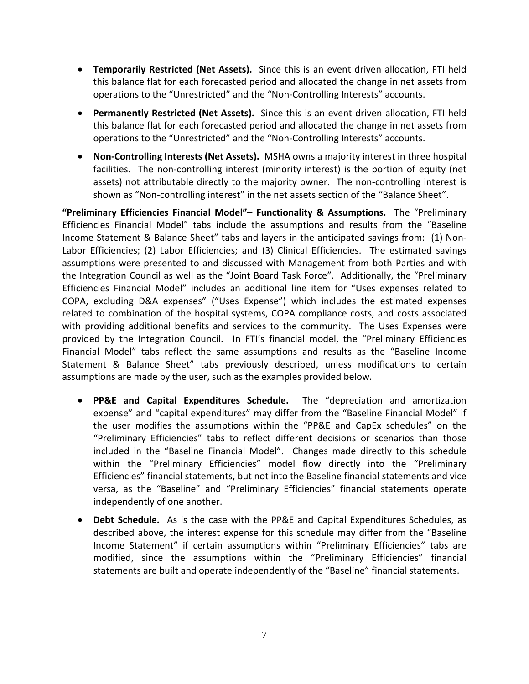- **Temporarily Restricted (Net Assets).** Since this is an event driven allocation, FTI held this balance flat for each forecasted period and allocated the change in net assets from operations to the "Unrestricted" and the "Non-Controlling Interests" accounts.
- **Permanently Restricted (Net Assets).** Since this is an event driven allocation, FTI held this balance flat for each forecasted period and allocated the change in net assets from operations to the "Unrestricted" and the "Non-Controlling Interests" accounts.
- **Non-Controlling Interests (Net Assets).** MSHA owns a majority interest in three hospital facilities. The non-controlling interest (minority interest) is the portion of equity (net assets) not attributable directly to the majority owner. The non-controlling interest is shown as "Non-controlling interest" in the net assets section of the "Balance Sheet".

**"Preliminary Efficiencies Financial Model"– Functionality & Assumptions.** The "Preliminary Efficiencies Financial Model" tabs include the assumptions and results from the "Baseline Income Statement & Balance Sheet" tabs and layers in the anticipated savings from: (1) Non-Labor Efficiencies; (2) Labor Efficiencies; and (3) Clinical Efficiencies. The estimated savings assumptions were presented to and discussed with Management from both Parties and with the Integration Council as well as the "Joint Board Task Force". Additionally, the "Preliminary Efficiencies Financial Model" includes an additional line item for "Uses expenses related to COPA, excluding D&A expenses" ("Uses Expense") which includes the estimated expenses related to combination of the hospital systems, COPA compliance costs, and costs associated with providing additional benefits and services to the community. The Uses Expenses were provided by the Integration Council. In FTI's financial model, the "Preliminary Efficiencies Financial Model" tabs reflect the same assumptions and results as the "Baseline Income Statement & Balance Sheet" tabs previously described, unless modifications to certain assumptions are made by the user, such as the examples provided below.

- **PP&E and Capital Expenditures Schedule.** The "depreciation and amortization expense" and "capital expenditures" may differ from the "Baseline Financial Model" if the user modifies the assumptions within the "PP&E and CapEx schedules" on the "Preliminary Efficiencies" tabs to reflect different decisions or scenarios than those included in the "Baseline Financial Model". Changes made directly to this schedule within the "Preliminary Efficiencies" model flow directly into the "Preliminary Efficiencies" financial statements, but not into the Baseline financial statements and vice versa, as the "Baseline" and "Preliminary Efficiencies" financial statements operate independently of one another.
- **Debt Schedule.** As is the case with the PP&E and Capital Expenditures Schedules, as described above, the interest expense for this schedule may differ from the "Baseline Income Statement" if certain assumptions within "Preliminary Efficiencies" tabs are modified, since the assumptions within the "Preliminary Efficiencies" financial statements are built and operate independently of the "Baseline" financial statements.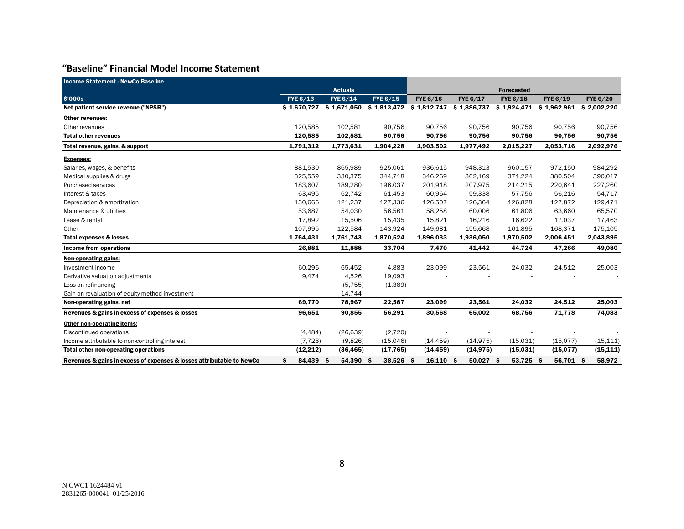## **"Baseline" Financial Model Income Statement**

| <b>Income Statement - NewCo Baseline</b>                              |                 |                           |                           |             |             |                                        |           |                 |
|-----------------------------------------------------------------------|-----------------|---------------------------|---------------------------|-------------|-------------|----------------------------------------|-----------|-----------------|
|                                                                       |                 | <b>Actuals</b>            |                           |             |             | <b>Forecasted</b>                      |           |                 |
| \$'000s                                                               | FYE 6/13        | FYE 6/14                  | FYE 6/15                  | FYE 6/16    | FYE 6/17    | <b>FYE 6/18</b>                        | FYE 6/19  | <b>FYE 6/20</b> |
| Net patient service revenue ("NPSR")                                  |                 | $$1,670,727$ $$1,671,050$ | $$1,813,472$ $$1,812,747$ |             | \$1,886,737 | $$1,924,471$ $$1,962,961$ $$2,002,220$ |           |                 |
| Other revenues:                                                       |                 |                           |                           |             |             |                                        |           |                 |
| Other revenues                                                        | 120,585         | 102,581                   | 90,756                    | 90,756      | 90,756      | 90,756                                 | 90,756    | 90,756          |
| <b>Total other revenues</b>                                           | 120,585         | 102,581                   | 90,756                    | 90,756      | 90,756      | 90,756                                 | 90,756    | 90,756          |
| Total revenue, gains, & support                                       | 1,791,312       | 1,773,631                 | 1,904,228                 | 1,903,502   | 1,977,492   | 2,015,227                              | 2,053,716 | 2,092,976       |
| <b>Expenses:</b>                                                      |                 |                           |                           |             |             |                                        |           |                 |
| Salaries, wages, & benefits                                           | 881,530         | 865,989                   | 925,061                   | 936,615     | 948,313     | 960,157                                | 972,150   | 984,292         |
| Medical supplies & drugs                                              | 325,559         | 330,375                   | 344,718                   | 346,269     | 362,169     | 371,224                                | 380,504   | 390,017         |
| Purchased services                                                    | 183,607         | 189,280                   | 196,037                   | 201,918     | 207,975     | 214,215                                | 220,641   | 227,260         |
| Interest & taxes                                                      | 63,495          | 62,742                    | 61,453                    | 60,964      | 59,338      | 57,756                                 | 56,216    | 54,717          |
| Depreciation & amortization                                           | 130,666         | 121,237                   | 127,336                   | 126,507     | 126,364     | 126,828                                | 127,872   | 129,471         |
| Maintenance & utilities                                               | 53,687          | 54,030                    | 56,561                    | 58,258      | 60,006      | 61,806                                 | 63,660    | 65,570          |
| Lease & rental                                                        | 17,892          | 15,506                    | 15,435                    | 15,821      | 16,216      | 16,622                                 | 17,037    | 17,463          |
| Other                                                                 | 107,995         | 122,584                   | 143,924                   | 149,681     | 155,668     | 161,895                                | 168,371   | 175,105         |
| <b>Total expenses &amp; losses</b>                                    | 1,764,431       | 1,761,743                 | 1,870,524                 | 1,896,033   | 1,936,050   | 1,970,502                              | 2,006,451 | 2,043,895       |
| Income from operations                                                | 26,881          | 11,888                    | 33,704                    | 7,470       | 41,442      | 44,724                                 | 47,266    | 49,080          |
| Non-operating gains:                                                  |                 |                           |                           |             |             |                                        |           |                 |
| Investment income                                                     | 60,296          | 65,452                    | 4,883                     | 23,099      | 23,561      | 24,032                                 | 24,512    | 25,003          |
| Derivative valuation adjustments                                      | 9,474           | 4,526                     | 19,093                    |             |             |                                        |           |                 |
| Loss on refinancing                                                   |                 | (5, 755)                  | (1, 389)                  |             |             |                                        |           |                 |
| Gain on revaluation of equity method investment                       |                 | 14,744                    |                           |             |             | $\sim$                                 |           |                 |
| Non-operating gains, net                                              | 69,770          | 78,967                    | 22,587                    | 23,099      | 23,561      | 24,032                                 | 24,512    | 25,003          |
| Revenues & gains in excess of expenses & losses                       | 96,651          | 90,855                    | 56,291                    | 30,568      | 65,002      | 68,756                                 | 71,778    | 74,083          |
| Other non-operating items:                                            |                 |                           |                           |             |             |                                        |           |                 |
| Discontinued operations                                               | (4, 484)        | (26, 639)                 | (2,720)                   |             |             |                                        |           |                 |
| Income attributable to non-controlling interest                       | (7, 728)        | (9,826)                   | (15,046)                  | (14, 459)   | (14.975)    | (15.031)                               | (15.077)  | (15, 111)       |
| Total other non-operating operations                                  | (12, 212)       | (36, 465)                 | (17, 765)                 | (14, 459)   | (14, 975)   | (15,031)                               | (15,077)  | (15, 111)       |
| Revenues & gains in excess of expenses & losses attributable to NewCo | \$<br>84,439 \$ | 54,390 \$                 | 38,526 \$                 | $16,110$ \$ | $50,027$ \$ | 53,725 \$                              | 56,701 \$ | 58,972          |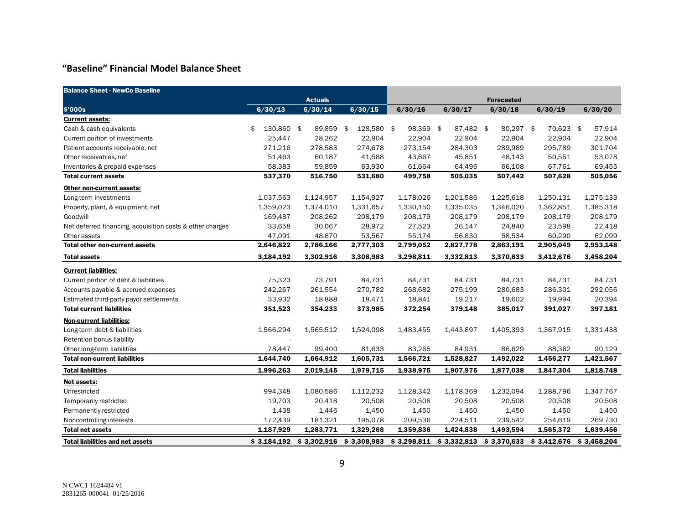### **"Baseline" Financial Model Balance Sheet**

| <b>Balance Sheet - NewCo Baseline</b>                     |               |                |                  |             |             |                   |             |             |
|-----------------------------------------------------------|---------------|----------------|------------------|-------------|-------------|-------------------|-------------|-------------|
|                                                           |               | <b>Actuals</b> |                  |             |             | <b>Forecasted</b> |             |             |
| \$'000s                                                   | 6/30/13       | 6/30/14        | 6/30/15          | 6/30/16     | 6/30/17     | 6/30/18           | 6/30/19     | 6/30/20     |
| <b>Current assets:</b>                                    |               |                |                  |             |             |                   |             |             |
| Cash & cash equivalents                                   | 130,860<br>\$ | \$<br>89,859   | \$<br>128,580 \$ | 98,369 \$   | 87,482 \$   | 80,297 \$         | 70,623 \$   | 57,914      |
| Current portion of investments                            | 25,447        | 28,262         | 22,904           | 22,904      | 22,904      | 22,904            | 22,904      | 22,904      |
| Patient accounts receivable, net                          | 271,216       | 278,583        | 274,678          | 273,154     | 284,303     | 289,989           | 295,789     | 301,704     |
| Other receivables, net                                    | 51,463        | 60,187         | 41,588           | 43,667      | 45,851      | 48,143            | 50,551      | 53,078      |
| Inventories & prepaid expenses                            | 58,383        | 59,859         | 63,930           | 61,664      | 64,496      | 66,108            | 67,761      | 69,455      |
| <b>Total current assets</b>                               | 537,370       | 516,750        | 531,680          | 499,758     | 505,035     | 507,442           | 507,628     | 505,056     |
| Other non-current assets:                                 |               |                |                  |             |             |                   |             |             |
| Long-term investments                                     | 1,037,563     | 1,124,957      | 1,154,927        | 1,178,026   | 1,201,586   | 1,225,618         | 1,250,131   | 1,275,133   |
| Property, plant, & equipment, net                         | 1,359,023     | 1,374,010      | 1,331,657        | 1,330,150   | 1,335,035   | 1,346,020         | 1,362,851   | 1,385,318   |
| Goodwill                                                  | 169,487       | 208,262        | 208,179          | 208,179     | 208,179     | 208,179           | 208,179     | 208,179     |
| Net deferred financing, acquisition costs & other charges | 33,658        | 30,067         | 28,972           | 27,523      | 26,147      | 24,840            | 23,598      | 22,418      |
| Other assets                                              | 47,091        | 48,870         | 53,567           | 55,174      | 56,830      | 58,534            | 60,290      | 62,099      |
| <b>Total other non-current assets</b>                     | 2,646,822     | 2,786,166      | 2,777,303        | 2,799,052   | 2,827,778   | 2,863,191         | 2,905,049   | 2,953,148   |
| <b>Total assets</b>                                       | 3,184,192     | 3,302,916      | 3,308,983        | 3,298,811   | 3,332,813   | 3,370,633         | 3,412,676   | 3,458,204   |
| <b>Current liabilities:</b>                               |               |                |                  |             |             |                   |             |             |
| Current portion of debt & liabilities                     | 75,323        | 73,791         | 84,731           | 84,731      | 84,731      | 84,731            | 84,731      | 84,731      |
| Accounts payable & accrued expenses                       | 242,267       | 261,554        | 270,782          | 268,682     | 275,199     | 280,683           | 286,301     | 292,056     |
| Estimated third-party payor settlements                   | 33,932        | 18,888         | 18,471           | 18,841      | 19,217      | 19,602            | 19,994      | 20,394      |
| <b>Total current liabilities</b>                          | 351,523       | 354,233        | 373,985          | 372,254     | 379,148     | 385,017           | 391,027     | 397,181     |
| <b>Non-current liabilities:</b>                           |               |                |                  |             |             |                   |             |             |
| Long-term debt & liabilities                              | 1,566,294     | 1,565,512      | 1,524,098        | 1,483,455   | 1,443,897   | 1,405,393         | 1,367,915   | 1,331,438   |
| Retention bonus liability                                 |               |                |                  |             |             |                   |             |             |
| Other long-term liabilities                               | 78,447        | 99,400         | 81,633           | 83,265      | 84,931      | 86,629            | 88,362      | 90,129      |
| <b>Total non-current liabilities</b>                      | 1,644,740     | 1,664,912      | 1,605,731        | 1,566,721   | 1,528,827   | 1,492,022         | 1,456,277   | 1,421,567   |
| <b>Total liabilities</b>                                  | 1,996,263     | 2,019,145      | 1,979,715        | 1,938,975   | 1,907,975   | 1,877,038         | 1,847,304   | 1,818,748   |
| Net assets:                                               |               |                |                  |             |             |                   |             |             |
| Unrestricted                                              | 994,348       | 1,080,586      | 1,112,232        | 1,128,342   | 1,178,369   | 1,232,094         | 1,288,796   | 1,347,767   |
| Temporarily restricted                                    | 19,703        | 20,418         | 20,508           | 20,508      | 20,508      | 20,508            | 20,508      | 20,508      |
| Permanently restricted                                    | 1,438         | 1,446          | 1,450            | 1,450       | 1,450       | 1,450             | 1,450       | 1,450       |
| Noncontrolling interests                                  | 172,439       | 181,321        | 195,078          | 209,536     | 224,511     | 239,542           | 254,619     | 269,730     |
| <b>Total net assets</b>                                   | 1,187,929     | 1,283,771      | 1,329,268        | 1,359,836   | 1,424,838   | 1,493,594         | 1,565,372   | 1,639,456   |
| <b>Total liabilities and net assets</b>                   | \$3.184.192   | \$3.302.916    | \$3,308,983      | \$3.298.811 | \$3,332,813 | \$3.370.633       | \$3.412.676 | \$3.458.204 |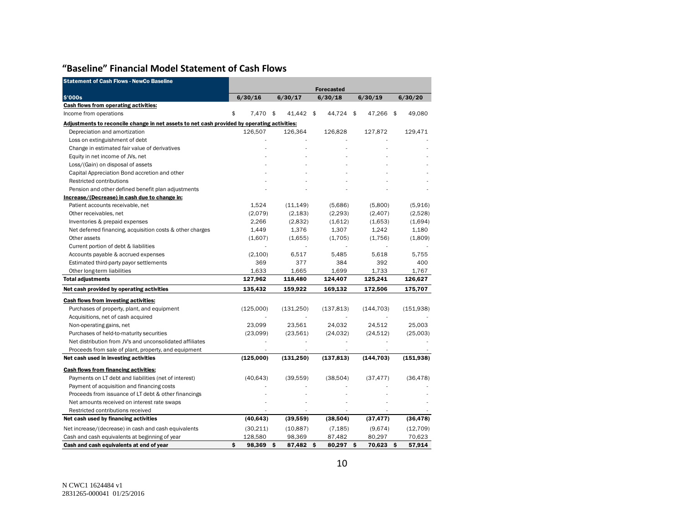## **"Baseline" Financial Model Statement of Cash Flows**

| <b>Statement of Cash Flows - NewCo Baseline</b>                                             |                   |                          |            |            |            |
|---------------------------------------------------------------------------------------------|-------------------|--------------------------|------------|------------|------------|
|                                                                                             | <b>Forecasted</b> |                          |            |            |            |
| \$'000s                                                                                     | 6/30/16           | 6/30/17                  | 6/30/18    | 6/30/19    | 6/30/20    |
| <b>Cash flows from operating activities:</b>                                                |                   |                          |            |            |            |
| Income from operations                                                                      | \$<br>7,470 \$    | 41,442 \$                | 44,724 \$  | 47,266 \$  | 49,080     |
| Adjustments to reconcile change in net assets to net cash provided by operating activities: |                   |                          |            |            |            |
| Depreciation and amortization                                                               | 126.507           | 126.364                  | 126,828    | 127,872    | 129.471    |
| Loss on extinguishment of debt                                                              |                   |                          |            |            |            |
| Change in estimated fair value of derivatives                                               |                   |                          |            |            |            |
| Equity in net income of JVs, net                                                            |                   |                          |            |            |            |
| Loss/(Gain) on disposal of assets                                                           |                   |                          |            |            |            |
| Capital Appreciation Bond accretion and other                                               |                   |                          |            |            |            |
| Restricted contributions                                                                    |                   |                          |            |            |            |
| Pension and other defined benefit plan adjustments                                          |                   |                          |            |            |            |
| Increase/(Decrease) in cash due to change in:                                               |                   |                          |            |            |            |
| Patient accounts receivable, net                                                            | 1,524             | (11, 149)                | (5,686)    | (5,800)    | (5,916)    |
| Other receivables, net                                                                      | (2,079)           | (2, 183)                 | (2, 293)   | (2,407)    | (2,528)    |
| Inventories & prepaid expenses                                                              | 2,266             | (2,832)                  | (1,612)    | (1,653)    | (1,694)    |
| Net deferred financing, acquisition costs & other charges                                   | 1,449             | 1,376                    | 1,307      | 1,242      | 1,180      |
| Other assets                                                                                | (1,607)           | (1,655)                  | (1,705)    | (1,756)    | (1,809)    |
| Current portion of debt & liabilities                                                       |                   | $\overline{\phantom{a}}$ |            |            |            |
| Accounts payable & accrued expenses                                                         | (2,100)           | 6,517                    | 5,485      | 5,618      | 5,755      |
| Estimated third-party payor settlements                                                     | 369               | 377                      | 384        | 392        | 400        |
| Other long-term liabilities                                                                 | 1,633             | 1,665                    | 1,699      | 1,733      | 1,767      |
| <b>Total adjustments</b>                                                                    | 127,962           | 118,480                  | 124,407    | 125,241    | 126,627    |
| Net cash provided by operating activities                                                   | 135,432           | 159,922                  | 169,132    | 172,506    | 175,707    |
| <b>Cash flows from investing activities:</b>                                                |                   |                          |            |            |            |
| Purchases of property, plant, and equipment                                                 | (125,000)         | (131,250)                | (137, 813) | (144, 703) | (151,938)  |
| Acquisitions, net of cash acquired                                                          |                   |                          |            |            |            |
| Non-operating gains, net                                                                    | 23,099            | 23,561                   | 24,032     | 24,512     | 25,003     |
| Purchases of held-to-maturity securities                                                    | (23,099)          | (23, 561)                | (24, 032)  | (24, 512)  | (25,003)   |
| Net distribution from JV's and unconsolidated affiliates                                    |                   |                          |            |            |            |
| Proceeds from sale of plant, property, and equipment                                        |                   |                          |            |            |            |
| Net cash used in investing activities                                                       | (125,000)         | (131, 250)               | (137, 813) | (144, 703) | (151, 938) |
| <b>Cash flows from financing activities:</b>                                                |                   |                          |            |            |            |
| Payments on LT debt and liabilities (net of interest)                                       | (40, 643)         | (39, 559)                | (38, 504)  | (37, 477)  | (36, 478)  |
| Payment of acquisition and financing costs                                                  |                   |                          |            |            |            |
| Proceeds from issuance of LT debt & other financings                                        |                   |                          |            |            |            |
| Net amounts received on interest rate swaps                                                 |                   |                          |            |            |            |
| Restricted contributions received                                                           |                   |                          |            |            |            |
| Net cash used by financing activities                                                       | (40, 643)         | (39, 559)                | (38,504)   | (37, 477)  | (36, 478)  |
| Net increase/(decrease) in cash and cash equivalents                                        | (30,211)          | (10, 887)                | (7, 185)   | (9,674)    | (12, 709)  |
| Cash and cash equivalents at beginning of year                                              | 128,580           | 98,369                   | 87,482     | 80,297     | 70,623     |
| Cash and cash equivalents at end of year                                                    | \$<br>98,369 \$   | 87,482 \$                | 80,297 \$  | 70,623 \$  | 57,914     |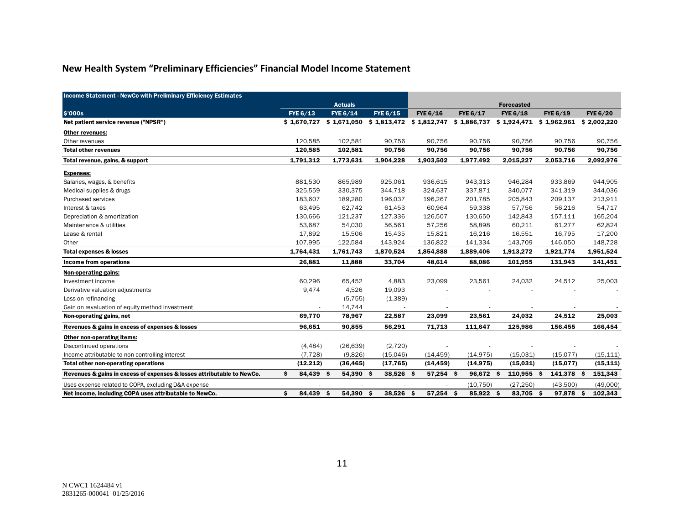# **New Health System "Preliminary Efficiencies" Financial Model Income Statement**

| <b>Income Statement - NewCo with Preliminary Efficiency Estimates</b>  |                  |                                                     |                  |           |             |                   |                           |                 |
|------------------------------------------------------------------------|------------------|-----------------------------------------------------|------------------|-----------|-------------|-------------------|---------------------------|-----------------|
|                                                                        |                  | <b>Actuals</b>                                      |                  |           |             | <b>Forecasted</b> |                           |                 |
| \$'000s                                                                | FYE 6/13         | FYE 6/14                                            | <b>FYE 6/15</b>  | FYE 6/16  | FYE 6/17    | <b>FYE 6/18</b>   | FYE 6/19                  | <b>FYE 6/20</b> |
| Net patient service revenue ("NPSR")                                   |                  | $$1,670,727$ $$1,671,050$ $$1,813,472$ $$1,812,747$ |                  |           | \$1,886,737 |                   | $$1,924,471$ $$1,962,961$ | \$2,002,220     |
| Other revenues:                                                        |                  |                                                     |                  |           |             |                   |                           |                 |
| Other revenues                                                         | 120,585          | 102,581                                             | 90,756           | 90,756    | 90,756      | 90,756            | 90,756                    | 90,756          |
| <b>Total other revenues</b>                                            | 120,585          | 102,581                                             | 90,756           | 90,756    | 90,756      | 90,756            | 90,756                    | 90,756          |
| Total revenue, gains, & support                                        | 1,791,312        | 1,773,631                                           | 1,904,228        | 1,903,502 | 1,977,492   | 2,015,227         | 2,053,716                 | 2,092,976       |
| <b>Expenses:</b>                                                       |                  |                                                     |                  |           |             |                   |                           |                 |
| Salaries, wages, & benefits                                            | 881,530          | 865,989                                             | 925,061          | 936,615   | 943,313     | 946,284           | 933,869                   | 944,905         |
| Medical supplies & drugs                                               | 325,559          | 330,375                                             | 344,718          | 324,637   | 337,871     | 340,077           | 341,319                   | 344,036         |
| Purchased services                                                     | 183,607          | 189,280                                             | 196,037          | 196,267   | 201,785     | 205,843           | 209,137                   | 213,911         |
| Interest & taxes                                                       | 63,495           | 62,742                                              | 61,453           | 60,964    | 59,338      | 57,756            | 56,216                    | 54,717          |
| Depreciation & amortization                                            | 130,666          | 121,237                                             | 127,336          | 126,507   | 130,650     | 142,843           | 157,111                   | 165,204         |
| Maintenance & utilities                                                | 53,687           | 54,030                                              | 56,561           | 57,256    | 58,898      | 60,211            | 61,277                    | 62,824          |
| Lease & rental                                                         | 17,892           | 15,506                                              | 15,435           | 15,821    | 16,216      | 16,551            | 16,795                    | 17,200          |
| Other                                                                  | 107,995          | 122,584                                             | 143,924          | 136,822   | 141,334     | 143,709           | 146,050                   | 148,728         |
| <b>Total expenses &amp; losses</b>                                     | 1,764,431        | 1,761,743                                           | 1,870,524        | 1,854,888 | 1,889,406   | 1,913,272         | 1,921,774                 | 1,951,524       |
| Income from operations                                                 | 26,881           | 11,888                                              | 33,704           | 48,614    | 88,086      | 101,955           | 131,943                   | 141,451         |
| Non-operating gains:                                                   |                  |                                                     |                  |           |             |                   |                           |                 |
| Investment income                                                      | 60,296           | 65,452                                              | 4,883            | 23,099    | 23,561      | 24,032            | 24,512                    | 25,003          |
| Derivative valuation adjustments                                       | 9,474            | 4,526                                               | 19,093           |           |             |                   |                           |                 |
| Loss on refinancing                                                    |                  | (5, 755)                                            | (1,389)          |           |             |                   |                           |                 |
| Gain on revaluation of equity method investment                        |                  | 14,744                                              |                  |           |             |                   |                           |                 |
| Non-operating gains, net                                               | 69,770           | 78,967                                              | 22,587           | 23,099    | 23,561      | 24,032            | 24,512                    | 25,003          |
| Revenues & gains in excess of expenses & losses                        | 96,651           | 90,855                                              | 56,291           | 71,713    | 111,647     | 125,986           | 156,455                   | 166,454         |
| <b>Other non-operating items:</b>                                      |                  |                                                     |                  |           |             |                   |                           |                 |
| Discontinued operations                                                | (4, 484)         | (26, 639)                                           | (2,720)          |           |             |                   |                           |                 |
| Income attributable to non-controlling interest                        | (7.728)          | (9,826)                                             | (15,046)         | (14, 459) | (14, 975)   | (15,031)          | (15,077)                  | (15, 111)       |
| Total other non-operating operations                                   | (12, 212)        | (36, 465)                                           | (17, 765)        | (14, 459) | (14, 975)   | (15,031)          | (15,077)                  | (15, 111)       |
| Revenues & gains in excess of expenses & losses attributable to NewCo. | 84,439 \$<br>\$. | 54,390 \$                                           | 38,526 \$        | 57,254 \$ | 96,672 \$   | $110,955$ \$      | 141,378 \$                | 151,343         |
| Uses expense related to COPA, excluding D&A expense                    |                  |                                                     |                  |           | (10, 750)   | (27, 250)         | (43,500)                  | (49,000)        |
| Net income, including COPA uses attributable to NewCo.                 | \$<br>84,439 \$  | 54,390                                              | \$.<br>38,526 \$ | 57,254 \$ | 85,922 \$   | 83,705 \$         | 97,878 \$                 | 102,343         |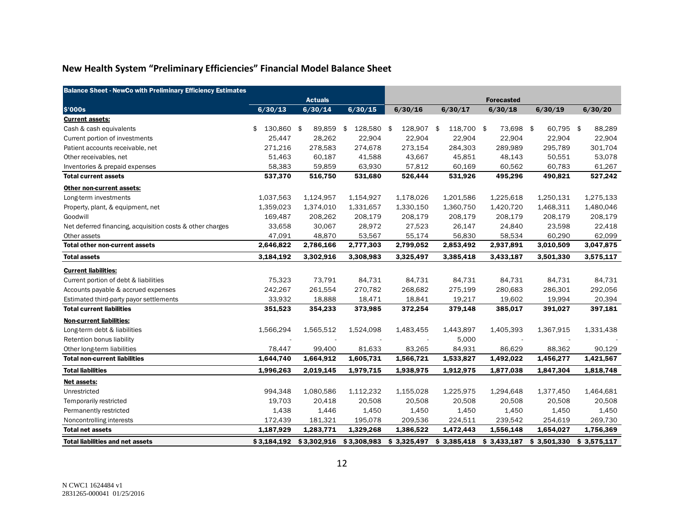# **New Health System "Preliminary Efficiencies" Financial Model Balance Sheet**

| <b>Balance Sheet - NewCo with Preliminary Efficiency Estimates</b> |                  |             |               |                 |                   |             |             |             |
|--------------------------------------------------------------------|------------------|-------------|---------------|-----------------|-------------------|-------------|-------------|-------------|
|                                                                    | <b>Actuals</b>   |             |               |                 |                   |             |             |             |
| \$'000s                                                            | 6/30/13          | 6/30/14     | 6/30/15       | 6/30/16         | 6/30/17           | 6/30/18     | 6/30/19     | 6/30/20     |
| <b>Current assets:</b>                                             |                  |             |               |                 |                   |             |             |             |
| Cash & cash equivalents                                            | 130,860 \$<br>\$ | 89,859      | 128,580<br>\$ | 128,907<br>- \$ | 118,700 \$<br>-\$ | 73,698 \$   | 60,795 \$   | 88,289      |
| Current portion of investments                                     | 25,447           | 28,262      | 22,904        | 22,904          | 22,904            | 22,904      | 22,904      | 22,904      |
| Patient accounts receivable, net                                   | 271,216          | 278,583     | 274,678       | 273,154         | 284,303           | 289,989     | 295,789     | 301,704     |
| Other receivables, net                                             | 51,463           | 60,187      | 41,588        | 43,667          | 45,851            | 48,143      | 50,551      | 53,078      |
| Inventories & prepaid expenses                                     | 58,383           | 59,859      | 63,930        | 57,812          | 60,169            | 60,562      | 60,783      | 61,267      |
| <b>Total current assets</b>                                        | 537,370          | 516,750     | 531,680       | 526,444         | 531,926           | 495,296     | 490,821     | 527,242     |
| Other non-current assets:                                          |                  |             |               |                 |                   |             |             |             |
| Long-term investments                                              | 1,037,563        | 1,124,957   | 1,154,927     | 1,178,026       | 1,201,586         | 1,225,618   | 1,250,131   | 1,275,133   |
| Property, plant, & equipment, net                                  | 1,359,023        | 1,374,010   | 1,331,657     | 1,330,150       | 1,360,750         | 1,420,720   | 1,468,311   | 1,480,046   |
| Goodwill                                                           | 169,487          | 208,262     | 208,179       | 208,179         | 208,179           | 208,179     | 208,179     | 208,179     |
| Net deferred financing, acquisition costs & other charges          | 33,658           | 30,067      | 28,972        | 27,523          | 26,147            | 24,840      | 23,598      | 22,418      |
| Other assets                                                       | 47,091           | 48,870      | 53,567        | 55,174          | 56,830            | 58,534      | 60,290      | 62,099      |
| <b>Total other non-current assets</b>                              | 2,646,822        | 2,786,166   | 2,777,303     | 2,799,052       | 2,853,492         | 2,937,891   | 3,010,509   | 3,047,875   |
| <b>Total assets</b>                                                | 3,184,192        | 3,302,916   | 3,308,983     | 3,325,497       | 3,385,418         | 3,433,187   | 3,501,330   | 3,575,117   |
| <b>Current liabilities:</b>                                        |                  |             |               |                 |                   |             |             |             |
| Current portion of debt & liabilities                              | 75,323           | 73,791      | 84,731        | 84,731          | 84,731            | 84,731      | 84,731      | 84,731      |
| Accounts payable & accrued expenses                                | 242,267          | 261,554     | 270,782       | 268,682         | 275,199           | 280,683     | 286,301     | 292,056     |
| Estimated third-party payor settlements                            | 33,932           | 18,888      | 18,471        | 18,841          | 19,217            | 19,602      | 19,994      | 20,394      |
| <b>Total current liabilities</b>                                   | 351,523          | 354,233     | 373,985       | 372,254         | 379,148           | 385,017     | 391,027     | 397,181     |
| <b>Non-current liabilities:</b>                                    |                  |             |               |                 |                   |             |             |             |
| Long-term debt & liabilities                                       | 1,566,294        | 1,565,512   | 1,524,098     | 1,483,455       | 1,443,897         | 1,405,393   | 1,367,915   | 1,331,438   |
| Retention bonus liability                                          |                  |             |               |                 | 5,000             |             |             |             |
| Other long-term liabilities                                        | 78,447           | 99,400      | 81,633        | 83,265          | 84,931            | 86,629      | 88,362      | 90,129      |
| <b>Total non-current liabilities</b>                               | 1,644,740        | 1,664,912   | 1,605,731     | 1,566,721       | 1,533,827         | 1,492,022   | 1,456,277   | 1,421,567   |
| <b>Total liabilities</b>                                           | 1,996,263        | 2,019,145   | 1,979,715     | 1,938,975       | 1,912,975         | 1,877,038   | 1,847,304   | 1,818,748   |
| Net assets:                                                        |                  |             |               |                 |                   |             |             |             |
| Unrestricted                                                       | 994,348          | 1,080,586   | 1,112,232     | 1,155,028       | 1,225,975         | 1,294,648   | 1,377,450   | 1,464,681   |
| Temporarily restricted                                             | 19,703           | 20,418      | 20,508        | 20,508          | 20,508            | 20,508      | 20,508      | 20,508      |
| Permanently restricted                                             | 1,438            | 1,446       | 1,450         | 1,450           | 1,450             | 1,450       | 1,450       | 1,450       |
| Noncontrolling interests                                           | 172,439          | 181,321     | 195,078       | 209,536         | 224,511           | 239,542     | 254,619     | 269,730     |
| <b>Total net assets</b>                                            | 1,187,929        | 1,283,771   | 1,329,268     | 1,386,522       | 1,472,443         | 1,556,148   | 1,654,027   | 1,756,369   |
| <b>Total liabilities and net assets</b>                            | \$3.184.192      | \$3,302.916 | \$3,308,983   | \$3,325,497     | \$3,385,418       | \$3.433.187 | \$3,501,330 | \$3,575,117 |